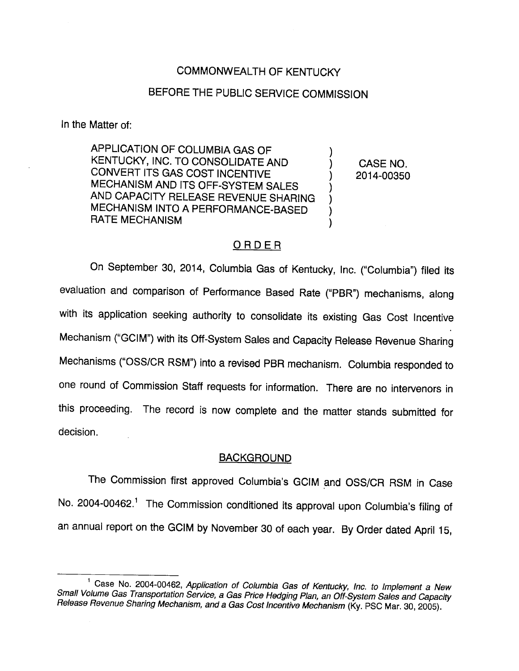## COMMONWEALTH OF KENTUCKY

## BEFORE THE PUBLIC SERVICE COMMISSION

In the Matter of:

APPLICATION OF COLUMBIA GAS OF KENTUCKY, INC. TO CONSOLIDATE AND  $\overrightarrow{y}$  CASE NO. CONVERT ITS GAS COST INCENTIVE  $\qquad \qquad$  2014-00350 MECHANISM AND ITS OFF-SYSTEM SALES AND CAPACITY RELEASE REVENUE SHARING MECHANISM INTO A PERFORMANCE-BASED RATE MECHANISM

## ORDER

On September 30, 2014, Columbia Gas of Kentucky, Inc. ("Columbia") fiied its evaluation and comparison of Performance Based Rate ("PBR") mechanisms, aiong with its appiication seeking authority to consoiidate its existing Gas Cost incentive Mechanism ("GCIM") with its Off-System Sales and Capacity Release Revenue Sharing Mechanisms ("OSS/CR RSM") into a revised PBR mechanism. Coiumbia responded to one round of Commission Staff requests for information. There are no intervenors in this proceeding. The record is now compiete and the matter stands submitted for decision.

## **BACKGROUND**

The Commission first approved Coiumbia's GCiM and OSS/CR RSM in Case No. 2004-00462.<sup>1</sup> The Commission conditioned its approval upon Columbia's filing of an annuai report on the GCiM by November 30 of each year. By Order dated Aprii 15,

<sup>&</sup>lt;sup>1</sup> Case No. 2004-00462, Application of Columbia Gas of Kentucky, Inc. to Implement a New Small Volume Gas Transportation Service, a Gas Price Hedging Plan, an Off-System Sales and Capacity<br>Release Revenue Sharing Mechanism, and a Gas Cost Incentive Mechanism (Ky. PSC Mar. 30, 2005).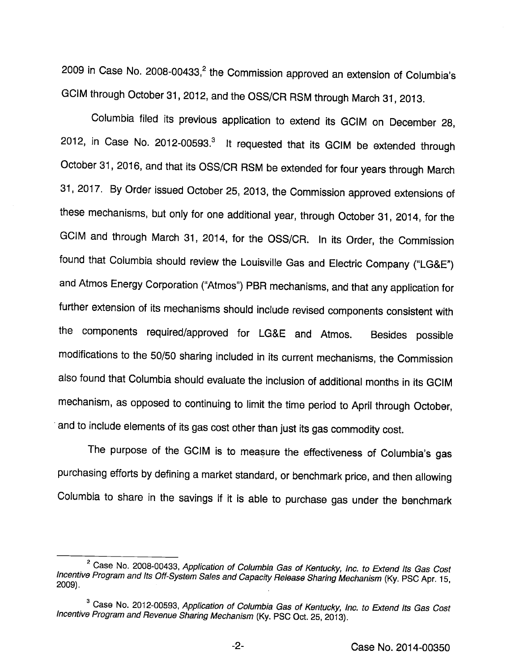2009 in Case No. 2008-00433, $<sup>2</sup>$  the Commission approved an extension of Columbia's</sup> GCiM through October 31, 2012, and the OSS/CR RSM through March 31, 2013.

Columbia filed its previous application to extend its GCIM on December 28, 2012, in Case No.  $2012-00593$ .<sup>3</sup> It requested that its GCIM be extended through October 31, 2016, and that its OSS/CR RSM be extended for four years through March 31, 2017. By Order issued October 25, 2013, the Commission approved extensions of these mechanisms, but only for one additional year, through October 31, 2014, for the GCIM and through March 31, 2014, for the OSS/CR. In its Order, the Commission found that Columbia should review the Louisville Gas and Electric Company ("LG&E") and Atmos Energy Corporation ("Atmos") PBR mechanisms, and that any application for further extension of its mechanisms should include revised components consistent with the components required/approved for LG&E and Atmos. Besides possible modifications to the 50/50 sharing included in its current mechanisms, the Commission also found that Columbia should evaluate the inclusion of additional months in its GCIM mechanism, as opposed to continuing to limit the time period to April through October, and to include elements of its gas cost other than just its gas commodity cost.

The purpose of the GCIM is to measure the effectiveness of Columbia's gas purchasing efforts by defining a market standard, or benchmark price, and then allowing Columbia to share in the savings if it is able to purchase gas under the benchmark

<sup>&</sup>lt;sup>2</sup> Case No. 2008-00433, Application of Columbia Gas of Kentucky, Inc. to Extend Its Gas Cost Incentive Program and Its Off-System Sales and Capacity Release Sharing Mechanism (Ky. PSC Apr. 15,  $2009$ .

<sup>&</sup>lt;sup>3</sup> Case No. 2012-00593, Application of Columbia Gas of Kentucky, Inc. to Extend Its Gas Cost Incentive Program and Revenue Sharing Mechanism (Ky. PSC Oct. 25, 2013).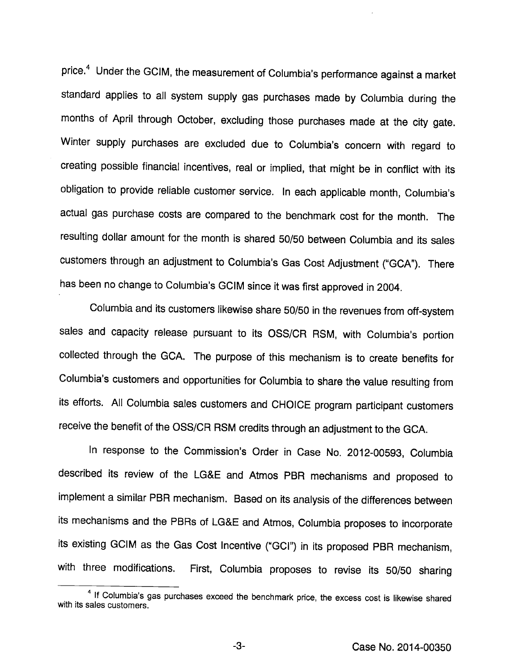price. $4$  Under the GCIM, the measurement of Columbia's performance against a market standard applies to ail system supply gas purchases made by Columbia during the months of April through October, excluding those purchases made at the city gate. Winter supply purchases are excluded due to Columbia's concern with regard to creating possible financial incentives, real or implied, that might be in conflict with its obligation to provide reliable customer service. In each applicable month, Columbia's actual gas purchase costs are compared to the benchmark cost for the month. The resulting dollar amount for the month is shared 50/50 between Columbia and its sales customers through an adjustment to Columbia's Gas Cost Adjustment ("GCA"). There has been no change to Columbia's GCIM since it was first approved in 2004.

Columbia and its customers likewise share 50/50 in the revenues from off-system sales and capacity release pursuant to its OSS/CR RSM, with Columbia's portion collected through the GCA. The purpose of this mechanism is to create benefits for Columbia's customers and opportunities for Columbia to share the value resulting from its efforts. All Columbia sales customers and CHOICE program participant customers receive the benefit of the OSS/CR RSM credits through an adjustment to the GCA.

In response to the Commission's Order in Case No. 2012-00593, Columbia described its review of the LG&E and Atmos PBR mechanisms and proposed to implement a similar PBR mechanism. Based on its analysis of the differences between its mechanisms and the PBRs of LG&E and Atmos, Columbia proposes to incorporate its existing GCIM as the Gas Cost Incentive ("GCI") in its proposed PBR mechanism, with three modifications. First, Columbia proposes to revise its 50/50 sharing

<sup>&</sup>lt;sup>4</sup> If Columbia's gas purchases exceed the benchmark price, the excess cost is likewise shared with its sales customers.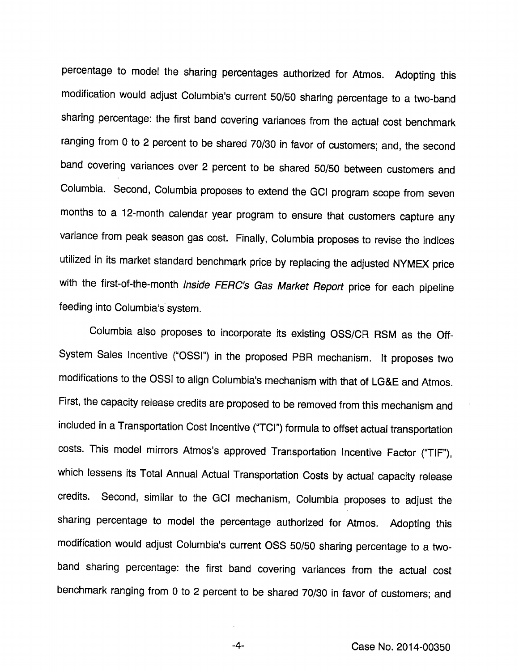percentage to model the sharing percentages authorized for Atmos. Adopting this modification would adjust Columbia's current 50/50 sharing percentage to a two-band sharing percentage: the first band covering variances from the actual cost benchmark ranging from 0 to 2 percent to be shared 70/30 in favor of customers; and, the second band covering variances over 2 percent to be shared 50/50 between customers and Columbia. Second, Columbia proposes to extend the GCI program scope from seven months to a 12-month calendar year program to ensure that customers capture any variance from peak season gas cost. Finally, Columbia proposes to revise the indices utilized in its market standard benchmark price by replacing the adjusted NYMEX price with the first-of-the-month *Inside FERC's Gas Market Report* price for each pipeline feeding into Columbia's system.

Columbia also proposes to incorporate its existing OSS/CR RSM as the Off-System Sales Incentive ("OSSI") in the proposed PBR mechanism. It proposes two modifications to the OSSI to align Columbia's mechanism with that of LG&E and Atmos. First, the capacity release credits are proposed to be removed from this mechanism and included in a Transportation Cost Incentive ("TCI") formula to offset actual transportation costs. This model mirrors Atmos's approved Transportation Incentive Factor ("TIF"), which lessens its Total Annual Actual Transportation Costs by actual capacity release credits. Second, similar to the GCI mechanism, Columbia proposes to adjust the sharing percentage to model the percentage authorized for Atmos. Adopting this modification would adjust Columbia's current OSS 50/50 sharing percentage to a twoband sharing percentage: the first band covering variances from the actual cost benchmark ranging from 0 to 2 percent to be shared 70/30 in favor of customers; and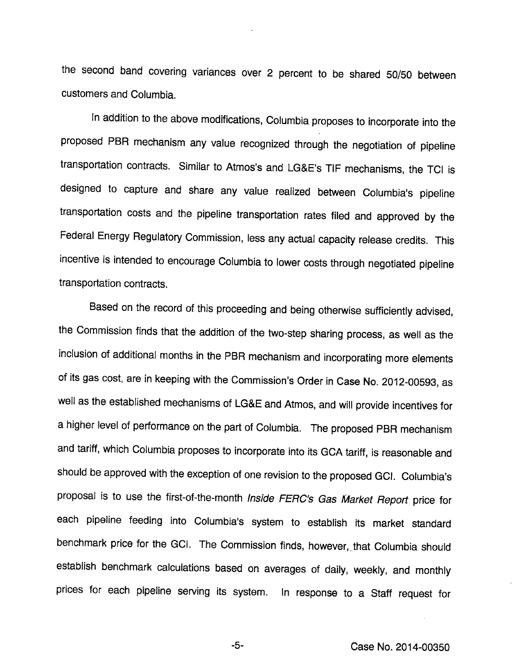the second band covering variances over 2 percent to be shared 50/50 between customers and Columbia.

in addition to the above modifications, Columbia proposes to incorporate into the proposed PBR mechanism any value recognized through the negotiation of pipeline transportation contracts. Similar to Atmos's and LG&E's TIP mechanisms, the TCI is designed to capture and share any value realized between Columbia's pipeline transportation costs and the pipeline transportation rates filed and approved by the Federal Energy Regulatory Commission, less any actual capacity release credits. This incentive is intended to encourage Columbia to lower costs through negotiated pipeline transportation contracts.

Based on the record of this proceeding and being otherwise sufficiently advised, the Commission finds that the addition of the two-step sharing process, as well as the inclusion of additional months in the PBR mechanism and incorporating more elements of its gas cost, are in keeping with the Commission's Order in Case No. 2012-00593, as well as the established mechanisms of LG&E and Atmos, and will provide incentives for a higher level of performance on the part of Columbia. The proposed PBR mechanism and tariff, which Columbia proposes to incorporate into its GCA tariff, is reasonable and should be approved with the exception of one revision to the proposed GCI. Columbia's proposal is to use the first-of-the-month Inside FERC's Gas Market Report price for each pipeline feeding into Columbia's system to establish its market standard benchmark price for the GCI. The Commission finds, however, that Columbia should establish benchmark calculations based on averages of daily, weekly, and monthly prices for each pipeline serving its system. In response to a Staff request for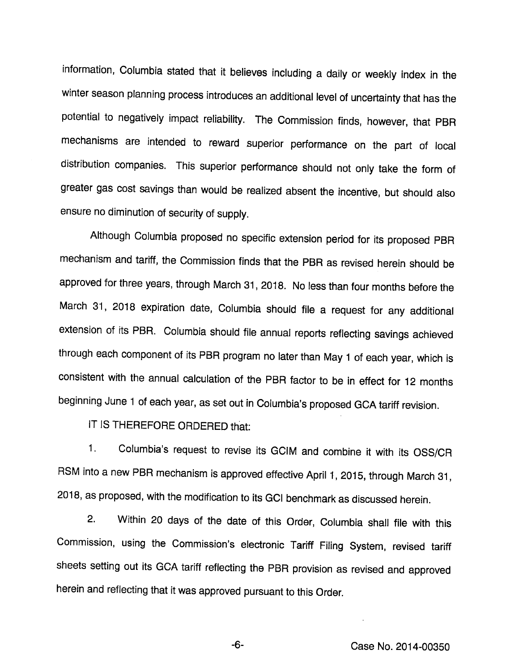information, Columbia stated that it believes including a daily or weekly index in the winter season planning process introduces an additional level of uncertainty that has the potential to negatively impact reliability. The Commission finds, however, that PBR mechanisms are intended to reward superior performance on the part of local distribution companies. This superior performance should not only take the form of greater gas cost savings than would be realized absent the incentive, but should also ensure no diminution of security of supply.

Although Columbia proposed no specific extension period for its proposed PBR mechanism and tariff, the Commission finds that the PBR as revised herein should be approved for three years, through March 31, 2018. No less than four months before the March 31, 2018 expiration date, Columbia should file a request for any additional extension of its PBR. Columbia should file annual reports reflecting savings achieved through each component of its PBR program no later than May 1of each year, which is consistent with the annual calculation of the PBR factor to be in effect for 12 months beginning June 1 of each year, as set out in Columbia's proposed GCA tariff revision.

IT IS THEREFORE ORDERED that:

1. Columbia's request to revise its GCiM and combine it with its OSS/CR RSM into a new PBR mechanism is approved effective April 1, 2015, through March 31, 2018, as proposed, with the modification to its GCI benchmark as discussed herein.

2. Within 20 days of the date of this Order, Columbia shall file with this Commission, using the Commission's electronic Tariff Filing System, revised tariff sheets setting out its GCA tariff reflecting the PBR provision as revised and approved herein and reflecting that it was approved pursuant to this Order.

-6- Case No. 2014-00350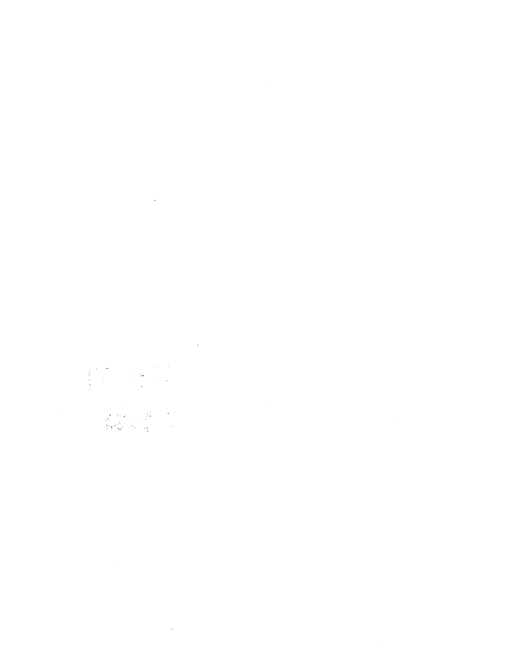$\label{eq:2.1} \frac{1}{\sqrt{2}}\int_{\mathbb{R}^3}\frac{1}{\sqrt{2}}\left(\frac{1}{\sqrt{2}}\right)^2\frac{1}{\sqrt{2}}\left(\frac{1}{\sqrt{2}}\right)^2\frac{1}{\sqrt{2}}\left(\frac{1}{\sqrt{2}}\right)^2\frac{1}{\sqrt{2}}\left(\frac{1}{\sqrt{2}}\right)^2.$ 

 $\label{eq:2.1} \mathcal{F}^{\text{max}}_{\text{max}}(\mathcal{F}^{\text{max}}_{\text{max}}, \mathcal{F}^{\text{max}}_{\text{max}})$ 

 $\mathcal{L}^{\text{max}}_{\text{max}}$  , where  $\mathcal{L}^{\text{max}}_{\text{max}}$ 

 $\mathcal{L}(\mathcal{L}^{\text{max}}_{\mathcal{L}}(\mathcal{L}^{\text{max}}_{\mathcal{L}}))$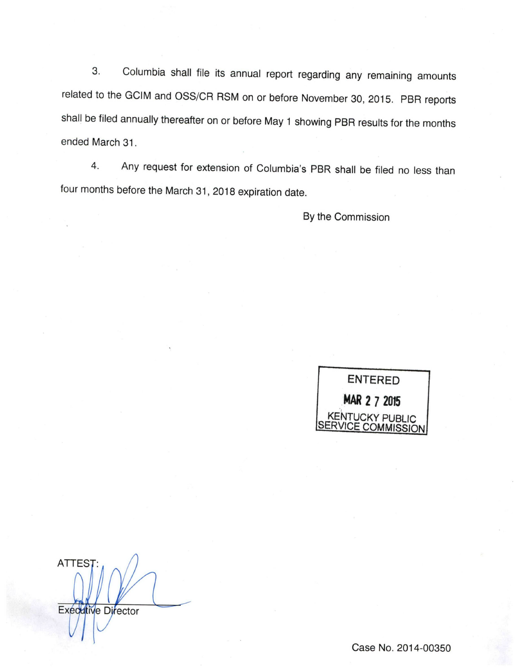3. Columbia shall file its annual report regarding any remaining amounts related to the GCIM and OSS/CR RSM on or before November 30, 2015. PER reports shall be filed annually thereafter on or before May 1 showing PBR results for the months ended March 31.

4. Any request for extension of Columbia's PER shall be filed no less than four months before the March 31, 2018 expiration date.

Ey the Commission



ATTEST: Executive Director